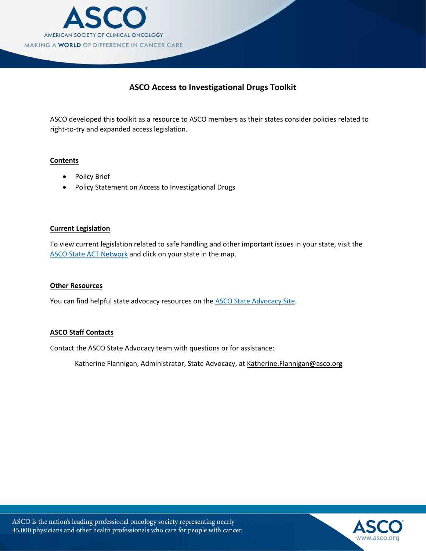

# **ASCO Access to Investigational Drugs Toolkit**

ASCO developed this toolkit as a resource to ASCO members as their states consider policies related to right-to-try and expanded access legislation.

#### **Contents**

- Policy Brief
- Policy Statement on Access to Investigational Drugs

#### **Current Legislation**

To view current legislation related to safe handling and other important issues in your state, visit the ASCO State [ACT Network](http://cqrcengage.com/asco/state) and click on your state in the map.

#### **Other Resources**

You can find helpful state advocacy resources on the **ASCO State Advocacy Site**.

### **ASCO Staff Contacts**

Contact the ASCO State Advocacy team with questions or for assistance:

Katherine Flannigan, Administrator, State [Advocacy, at Katherine.Flanni](mailto:Jennifer.Brunelle@asco.org)gan@asco.org

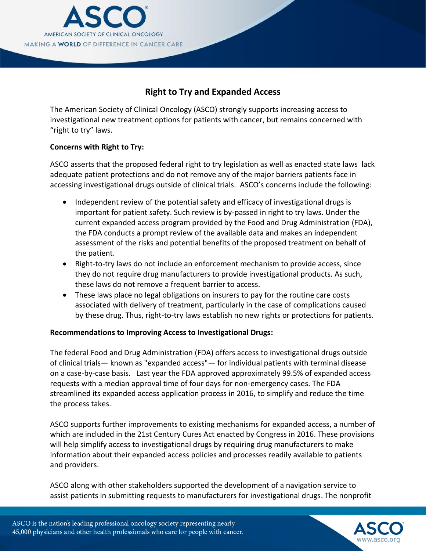

# **Right to Try and Expanded Access**

The American Society of Clinical Oncology (ASCO) strongly supports increasing access to investigational new treatment options for patients with cancer, but remains concerned with "right to try" laws.

# **Concerns with Right to Try:**

ASCO asserts that the proposed federal right to try legislation as well as enacted state laws lack adequate patient protections and do not remove any of the major barriers patients face in accessing investigational drugs outside of clinical trials. ASCO's concerns include the following:

- Independent review of the potential safety and efficacy of investigational drugs is important for patient safety. Such review is by-passed in right to try laws. Under the current expanded access program provided by the Food and Drug Administration (FDA), the FDA conducts a prompt review of the available data and makes an independent assessment of the risks and potential benefits of the proposed treatment on behalf of the patient.
- Right-to-try laws do not include an enforcement mechanism to provide access, since they do not require drug manufacturers to provide investigational products. As such, these laws do not remove a frequent barrier to access.
- These laws place no legal obligations on insurers to pay for the routine care costs associated with delivery of treatment, particularly in the case of complications caused by these drug. Thus, right-to-try laws establish no new rights or protections for patients.

# **Recommendations to Improving Access to Investigational Drugs:**

The federal Food and Drug Administration (FDA) offers access to investigational drugs outside of clinical trials— known as "expanded access"— for individual patients with terminal disease on a case-by-case basis. Last year the FDA approved approximately 99.5% of expanded access requests with a median approval time of four days for non-emergency cases. The FDA streamlined its expanded access application process in 2016, to simplify and reduce the time the process takes.

ASCO supports further improvements to existing mechanisms for expanded access, a number of which are included in the 21st Century Cures Act enacted by Congress in 2016. These provisions will help simplify access to investigational drugs by requiring drug manufacturers to make information about their expanded access policies and processes readily available to patients and providers.

ASCO along with other stakeholders supported the development of a navigation service to assist patients in submitting requests to manufacturers for investigational drugs. The nonprofit

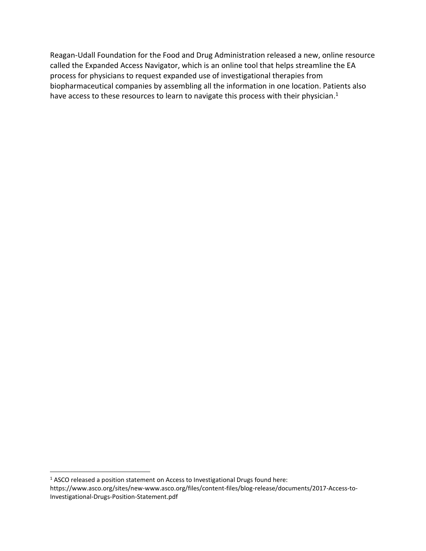Reagan-Udall Foundation for the Food and Drug Administration released a new, online resource called the Expanded Access Navigator, which is an online tool that helps streamline the EA process for physicians to request expanded use of investigational therapies from biopharmaceutical companies by assembling all the information in one location. Patients also have access to these resources to learn to navigate this process with their physician.<sup>1</sup>

<sup>&</sup>lt;sup>1</sup> ASCO released a position statement on Access to Investigational Drugs found here: https://www.asco.org/sites/new-www.asco.org/files/content-files/blog-release/documents/2017-Access-to-Investigational-Drugs-Position-Statement.pdf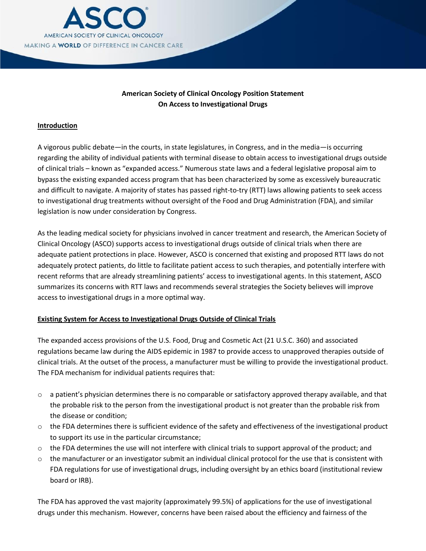

# **American Society of Clinical Oncology Position Statement On Access to Investigational Drugs**

### **Introduction**

A vigorous public debate—in the courts, in state legislatures, in Congress, and in the media—is occurring regarding the ability of individual patients with terminal disease to obtain access to investigational drugs outside of clinical trials – known as "expanded access." Numerous state laws and a federal legislative proposal aim to bypass the existing expanded access program that has been characterized by some as excessively bureaucratic and difficult to navigate. A majority of states has passed right-to-try (RTT) laws allowing patients to seek access to investigational drug treatments without oversight of the Food and Drug Administration (FDA), and similar legislation is now under consideration by Congress.

As the leading medical society for physicians involved in cancer treatment and research, the American Society of Clinical Oncology (ASCO) supports access to investigational drugs outside of clinical trials when there are adequate patient protections in place. However, ASCO is concerned that existing and proposed RTT laws do not adequately protect patients, do little to facilitate patient access to such therapies, and potentially interfere with recent reforms that are already streamlining patients' access to investigational agents. In this statement, ASCO summarizes its concerns with RTT laws and recommends several strategies the Society believes will improve access to investigational drugs in a more optimal way.

### **Existing System for Access to Investigational Drugs Outside of Clinical Trials**

The expanded access provisions of the U.S. Food, Drug and Cosmetic Act (21 U.S.C. 360) and associated regulations became law during the AIDS epidemic in 1987 to provide access to unapproved therapies outside of clinical trials. At the outset of the process, a manufacturer must be willing to provide the investigational product. The FDA mechanism for individual patients requires that:

- $\circ$  a patient's physician determines there is no comparable or satisfactory approved therapy available, and that the probable risk to the person from the investigational product is not greater than the probable risk from the disease or condition;
- o the FDA determines there is sufficient evidence of the safety and effectiveness of the investigational product to support its use in the particular circumstance;
- o the FDA determines the use will not interfere with clinical trials to support approval of the product; and
- $\circ$  the manufacturer or an investigator submit an individual clinical protocol for the use that is consistent with FDA regulations for use of investigational drugs, including oversight by an ethics board (institutional review board or IRB).

The FDA has approved the vast majority (approximately 99.5%) of applications for the use of investigational drugs under this mechanism. However, concerns have been raised about the efficiency and fairness of the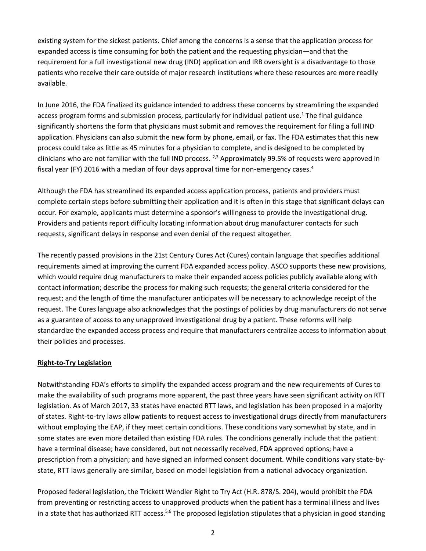existing system for the sickest patients. Chief among the concerns is a sense that the application process for expanded access is time consuming for both the patient and the requesting physician—and that the requirement for a full investigational new drug (IND) application and IRB oversight is a disadvantage to those patients who receive their care outside of major research institutions where these resources are more readily available.

In June 2016, the FDA finalized its guidance intended to address these concerns by streamlining the expanded access program forms and submission process, particularly for individual patient use.<sup>1</sup> The final guidance significantly shortens the form that physicians must submit and removes the requirement for filing a full IND application. Physicians can also submit the new form by phone, email, or fax. The FDA estimates that this new process could take as little as 45 minutes for a physician to complete, and is designed to be completed by clinicians who are not familiar with the full IND process.  $^{2,3}$  Approximately 99.5% of requests were approved in fiscal year (FY) 2016 with a median of four days approval time for non-emergency cases.<sup>4</sup>

Although the FDA has streamlined its expanded access application process, patients and providers must complete certain steps before submitting their application and it is often in this stage that significant delays can occur. For example, applicants must determine a sponsor's willingness to provide the investigational drug. Providers and patients report difficulty locating information about drug manufacturer contacts for such requests, significant delays in response and even denial of the request altogether.

The recently passed provisions in the 21st Century Cures Act (Cures) contain language that specifies additional requirements aimed at improving the current FDA expanded access policy. ASCO supports these new provisions, which would require drug manufacturers to make their expanded access policies publicly available along with contact information; describe the process for making such requests; the general criteria considered for the request; and the length of time the manufacturer anticipates will be necessary to acknowledge receipt of the request. The Cures language also acknowledges that the postings of policies by drug manufacturers do not serve as a guarantee of access to any unapproved investigational drug by a patient. These reforms will help standardize the expanded access process and require that manufacturers centralize access to information about their policies and processes.

### **Right-to-Try Legislation**

Notwithstanding FDA's efforts to simplify the expanded access program and the new requirements of Cures to make the availability of such programs more apparent, the past three years have seen significant activity on RTT legislation. As of March 2017, 33 states have enacted RTT laws, and legislation has been proposed in a majority of states. Right-to-try laws allow patients to request access to investigational drugs directly from manufacturers without employing the EAP, if they meet certain conditions. These conditions vary somewhat by state, and in some states are even more detailed than existing FDA rules. The conditions generally include that the patient have a terminal disease; have considered, but not necessarily received, FDA approved options; have a prescription from a physician; and have signed an informed consent document. While conditions vary state-bystate, RTT laws generally are similar, based on model legislation from a national advocacy organization.

Proposed federal legislation, the Trickett Wendler Right to Try Act (H.R. 878/S. 204), would prohibit the FDA from preventing or restricting access to unapproved products when the patient has a terminal illness and lives in a state that has authorized RTT access.<sup>5,6</sup> The proposed legislation stipulates that a physician in good standing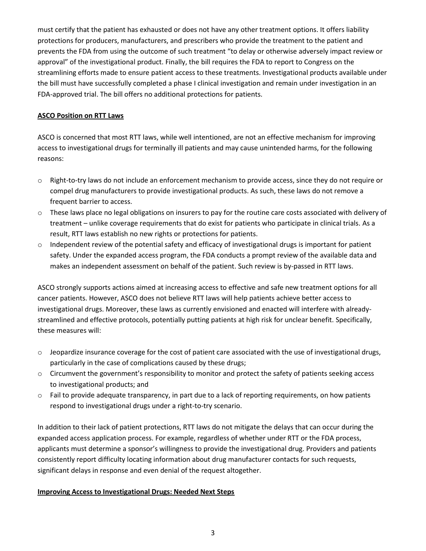must certify that the patient has exhausted or does not have any other treatment options. It offers liability protections for producers, manufacturers, and prescribers who provide the treatment to the patient and prevents the FDA from using the outcome of such treatment "to delay or otherwise adversely impact review or approval" of the investigational product. Finally, the bill requires the FDA to report to Congress on the streamlining efforts made to ensure patient access to these treatments. Investigational products available under the bill must have successfully completed a phase I clinical investigation and remain under investigation in an FDA-approved trial. The bill offers no additional protections for patients.

### **ASCO Position on RTT Laws**

ASCO is concerned that most RTT laws, while well intentioned, are not an effective mechanism for improving access to investigational drugs for terminally ill patients and may cause unintended harms, for the following reasons:

- o Right-to-try laws do not include an enforcement mechanism to provide access, since they do not require or compel drug manufacturers to provide investigational products. As such, these laws do not remove a frequent barrier to access.
- o These laws place no legal obligations on insurers to pay for the routine care costs associated with delivery of treatment – unlike coverage requirements that do exist for patients who participate in clinical trials. As a result, RTT laws establish no new rights or protections for patients.
- o Independent review of the potential safety and efficacy of investigational drugs is important for patient safety. Under the expanded access program, the FDA conducts a prompt review of the available data and makes an independent assessment on behalf of the patient. Such review is by-passed in RTT laws.

ASCO strongly supports actions aimed at increasing access to effective and safe new treatment options for all cancer patients. However, ASCO does not believe RTT laws will help patients achieve better access to investigational drugs. Moreover, these laws as currently envisioned and enacted will interfere with alreadystreamlined and effective protocols, potentially putting patients at high risk for unclear benefit. Specifically, these measures will:

- $\circ$  Jeopardize insurance coverage for the cost of patient care associated with the use of investigational drugs, particularly in the case of complications caused by these drugs;
- o Circumvent the government's responsibility to monitor and protect the safety of patients seeking access to investigational products; and
- o Fail to provide adequate transparency, in part due to a lack of reporting requirements, on how patients respond to investigational drugs under a right-to-try scenario.

In addition to their lack of patient protections, RTT laws do not mitigate the delays that can occur during the expanded access application process. For example, regardless of whether under RTT or the FDA process, applicants must determine a sponsor's willingness to provide the investigational drug. Providers and patients consistently report difficulty locating information about drug manufacturer contacts for such requests, significant delays in response and even denial of the request altogether.

### **Improving Access to Investigational Drugs: Needed Next Steps**